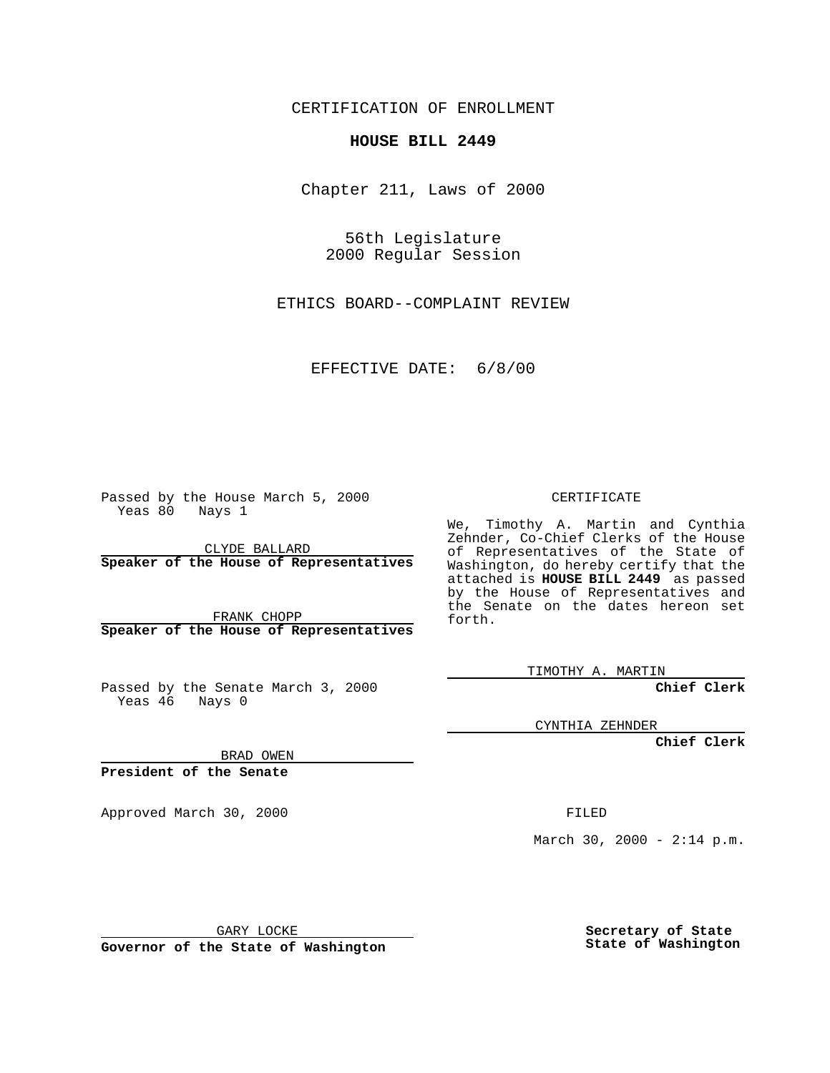CERTIFICATION OF ENROLLMENT

## **HOUSE BILL 2449**

Chapter 211, Laws of 2000

56th Legislature 2000 Regular Session

ETHICS BOARD--COMPLAINT REVIEW

EFFECTIVE DATE: 6/8/00

Passed by the House March 5, 2000 Yeas 80 Nays 1

CLYDE BALLARD **Speaker of the House of Representatives**

FRANK CHOPP **Speaker of the House of Representatives**

Passed by the Senate March 3, 2000 Yeas 46 Nays 0

CERTIFICATE

We, Timothy A. Martin and Cynthia Zehnder, Co-Chief Clerks of the House of Representatives of the State of Washington, do hereby certify that the attached is **HOUSE BILL 2449** as passed by the House of Representatives and the Senate on the dates hereon set forth.

TIMOTHY A. MARTIN

**Chief Clerk**

CYNTHIA ZEHNDER

**Chief Clerk**

BRAD OWEN

**President of the Senate**

Approved March 30, 2000 FILED

March 30, 2000 - 2:14 p.m.

GARY LOCKE

**Governor of the State of Washington**

**Secretary of State State of Washington**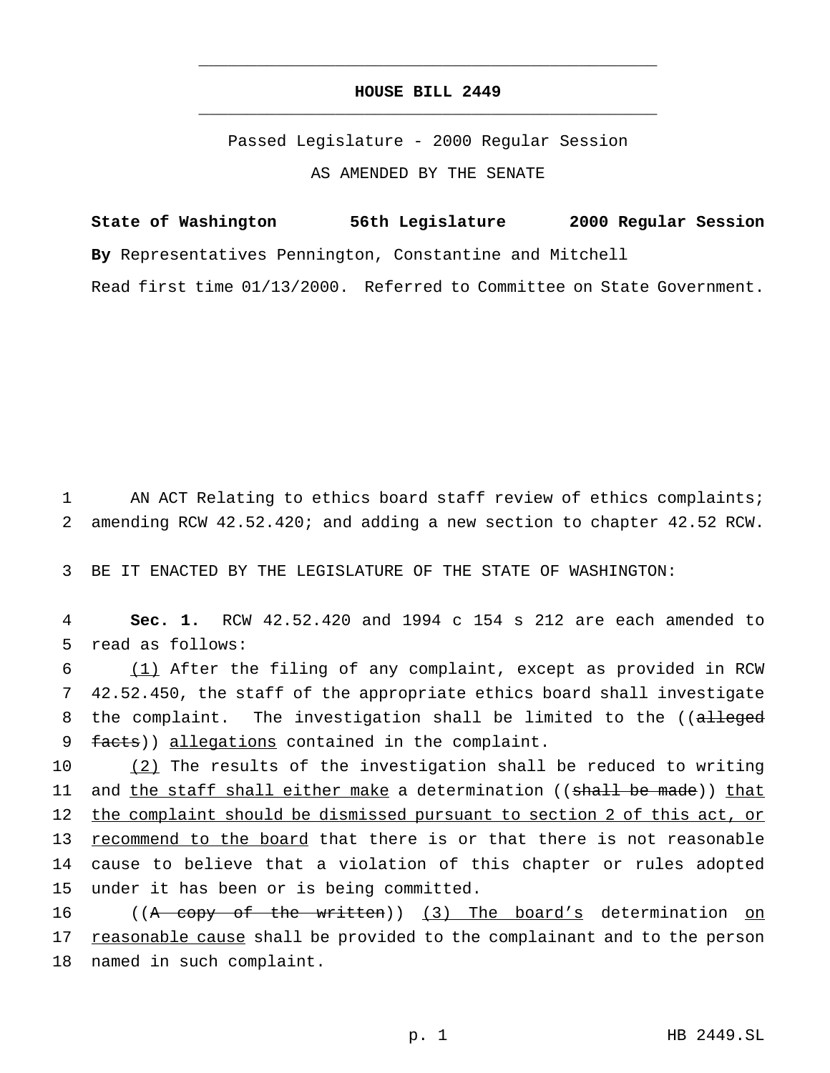## **HOUSE BILL 2449** \_\_\_\_\_\_\_\_\_\_\_\_\_\_\_\_\_\_\_\_\_\_\_\_\_\_\_\_\_\_\_\_\_\_\_\_\_\_\_\_\_\_\_\_\_\_\_

\_\_\_\_\_\_\_\_\_\_\_\_\_\_\_\_\_\_\_\_\_\_\_\_\_\_\_\_\_\_\_\_\_\_\_\_\_\_\_\_\_\_\_\_\_\_\_

Passed Legislature - 2000 Regular Session AS AMENDED BY THE SENATE

**State of Washington 56th Legislature 2000 Regular Session By** Representatives Pennington, Constantine and Mitchell Read first time 01/13/2000. Referred to Committee on State Government.

1 AN ACT Relating to ethics board staff review of ethics complaints; 2 amending RCW 42.52.420; and adding a new section to chapter 42.52 RCW.

3 BE IT ENACTED BY THE LEGISLATURE OF THE STATE OF WASHINGTON:

4 **Sec. 1.** RCW 42.52.420 and 1994 c 154 s 212 are each amended to 5 read as follows:

6 (1) After the filing of any complaint, except as provided in RCW 7 42.52.450, the staff of the appropriate ethics board shall investigate 8 the complaint. The investigation shall be limited to the ((alleged 9 facts)) allegations contained in the complaint.

 (2) The results of the investigation shall be reduced to writing 11 and the staff shall either make a determination ((shall be made)) that the complaint should be dismissed pursuant to section 2 of this act, or recommend to the board that there is or that there is not reasonable cause to believe that a violation of this chapter or rules adopted under it has been or is being committed.

16 ((A copy of the written)) (3) The board's determination on 17 reasonable cause shall be provided to the complainant and to the person 18 named in such complaint.